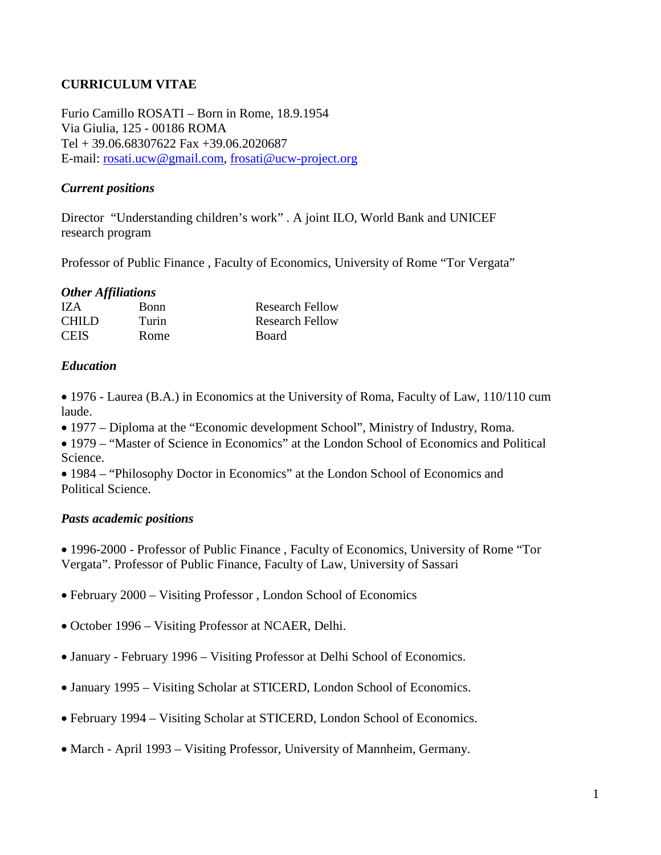# **CURRICULUM VITAE**

Furio Camillo ROSATI – Born in Rome, 18.9.1954 Via Giulia, 125 - 00186 ROMA Tel + 39.06.68307622 Fax +39.06.2020687 E-mail: [rosati.ucw@gmail.com,](mailto:rosati.ucw@gmail.com) [frosati@ucw-project.org](mailto:frosati@ucw-project.org)

### *Current positions*

Director "Understanding children's work" . A joint ILO, World Bank and UNICEF research program

Professor of Public Finance , Faculty of Economics, University of Rome "Tor Vergata"

#### *Other Affiliations*

| IZA          | Bonn  | <b>Research Fellow</b> |
|--------------|-------|------------------------|
| <b>CHILD</b> | Turin | Research Fellow        |
| <b>CEIS</b>  | Rome  | <b>Board</b>           |

#### *Education*

• 1976 - Laurea (B.A.) in Economics at the University of Roma, Faculty of Law, 110/110 cum laude.

- 1977 Diploma at the "Economic development School", Ministry of Industry, Roma.
- 1979 "Master of Science in Economics" at the London School of Economics and Political Science.

• 1984 – "Philosophy Doctor in Economics" at the London School of Economics and Political Science.

### *Pasts academic positions*

• 1996-2000 - Professor of Public Finance , Faculty of Economics, University of Rome "Tor Vergata". Professor of Public Finance, Faculty of Law, University of Sassari

- February 2000 Visiting Professor , London School of Economics
- October 1996 Visiting Professor at NCAER, Delhi.
- January February 1996 Visiting Professor at Delhi School of Economics.
- January 1995 Visiting Scholar at STICERD, London School of Economics.
- February 1994 Visiting Scholar at STICERD, London School of Economics.
- March April 1993 Visiting Professor, University of Mannheim, Germany.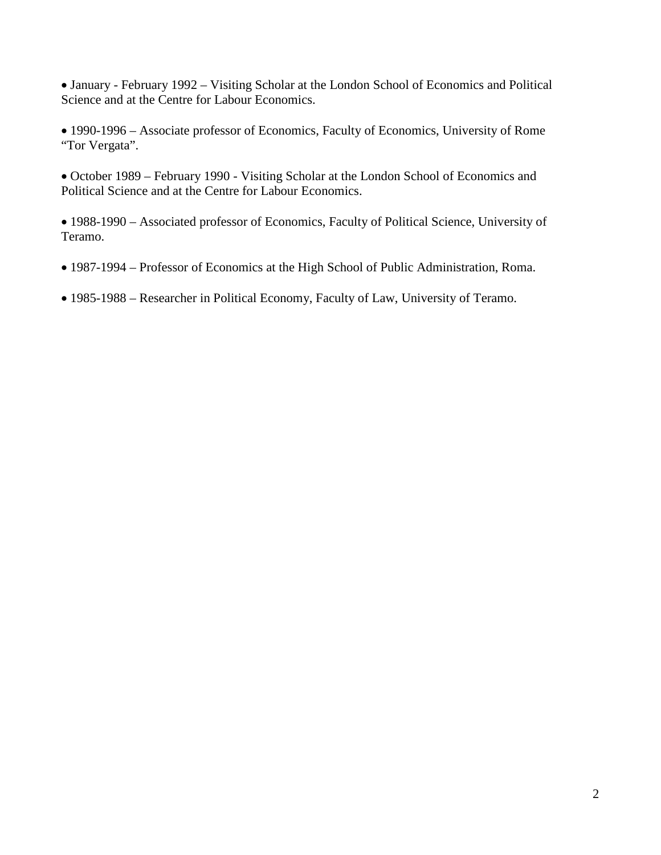• January - February 1992 – Visiting Scholar at the London School of Economics and Political Science and at the Centre for Labour Economics.

• 1990-1996 – Associate professor of Economics, Faculty of Economics, University of Rome "Tor Vergata".

• October 1989 – February 1990 - Visiting Scholar at the London School of Economics and Political Science and at the Centre for Labour Economics.

• 1988-1990 – Associated professor of Economics, Faculty of Political Science, University of Teramo.

- 1987-1994 Professor of Economics at the High School of Public Administration, Roma.
- 1985-1988 Researcher in Political Economy, Faculty of Law, University of Teramo.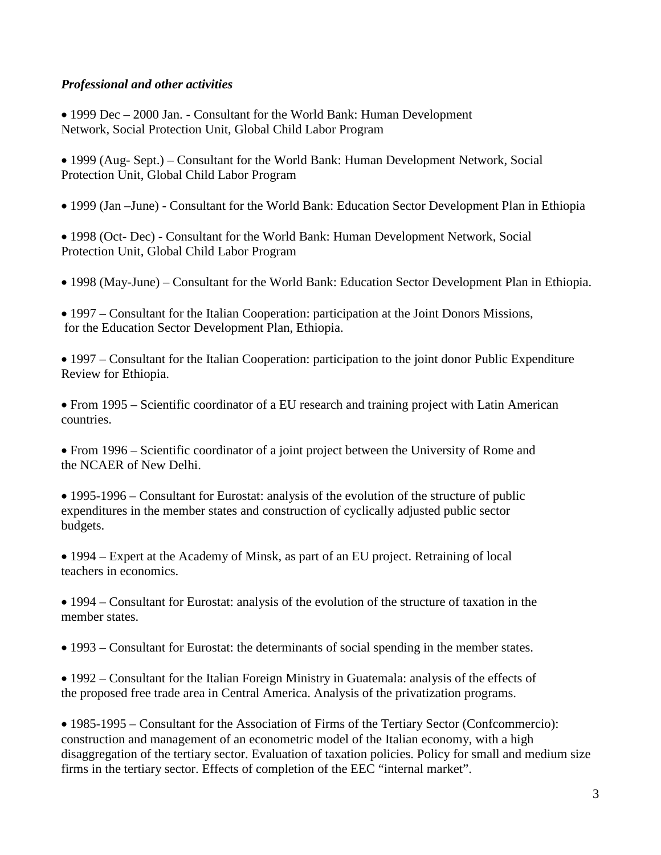## *Professional and other activities*

- 1999 Dec 2000 Jan. Consultant for the World Bank: Human Development Network, Social Protection Unit, Global Child Labor Program
- 1999 (Aug- Sept.) Consultant for the World Bank: Human Development Network, Social Protection Unit, Global Child Labor Program
- 1999 (Jan –June) Consultant for the World Bank: Education Sector Development Plan in Ethiopia
- 1998 (Oct- Dec) Consultant for the World Bank: Human Development Network, Social Protection Unit, Global Child Labor Program
- 1998 (May-June) Consultant for the World Bank: Education Sector Development Plan in Ethiopia.
- 1997 Consultant for the Italian Cooperation: participation at the Joint Donors Missions, for the Education Sector Development Plan, Ethiopia.
- 1997 Consultant for the Italian Cooperation: participation to the joint donor Public Expenditure Review for Ethiopia.

• From 1995 – Scientific coordinator of a EU research and training project with Latin American countries.

• From 1996 – Scientific coordinator of a joint project between the University of Rome and the NCAER of New Delhi.

• 1995-1996 – Consultant for Eurostat: analysis of the evolution of the structure of public expenditures in the member states and construction of cyclically adjusted public sector budgets.

• 1994 – Expert at the Academy of Minsk, as part of an EU project. Retraining of local teachers in economics.

• 1994 – Consultant for Eurostat: analysis of the evolution of the structure of taxation in the member states.

• 1993 – Consultant for Eurostat: the determinants of social spending in the member states.

• 1992 – Consultant for the Italian Foreign Ministry in Guatemala: analysis of the effects of the proposed free trade area in Central America. Analysis of the privatization programs.

• 1985-1995 – Consultant for the Association of Firms of the Tertiary Sector (Confcommercio): construction and management of an econometric model of the Italian economy, with a high disaggregation of the tertiary sector. Evaluation of taxation policies. Policy for small and medium size firms in the tertiary sector. Effects of completion of the EEC "internal market".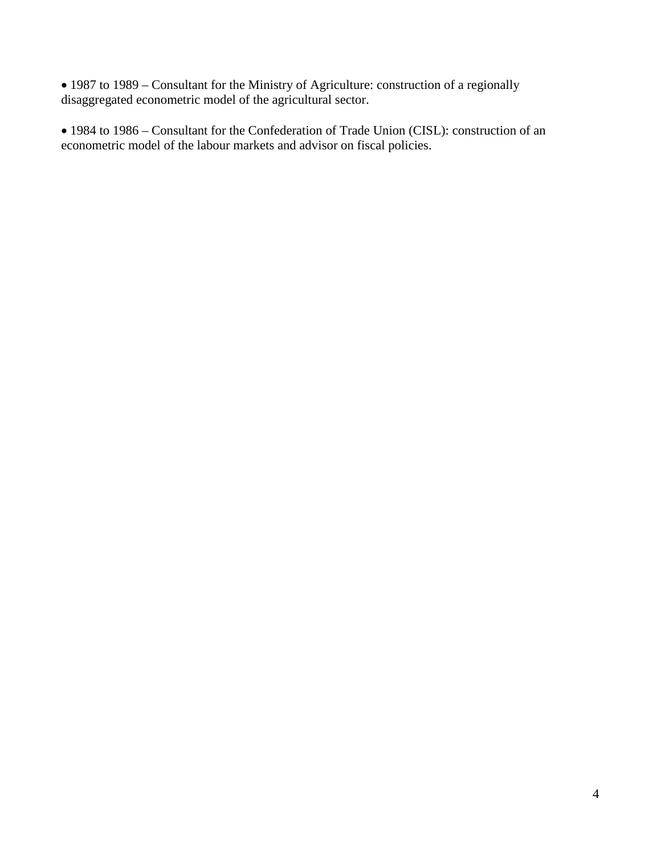• 1987 to 1989 – Consultant for the Ministry of Agriculture: construction of a regionally disaggregated econometric model of the agricultural sector.

• 1984 to 1986 – Consultant for the Confederation of Trade Union (CISL): construction of an econometric model of the labour markets and advisor on fiscal policies.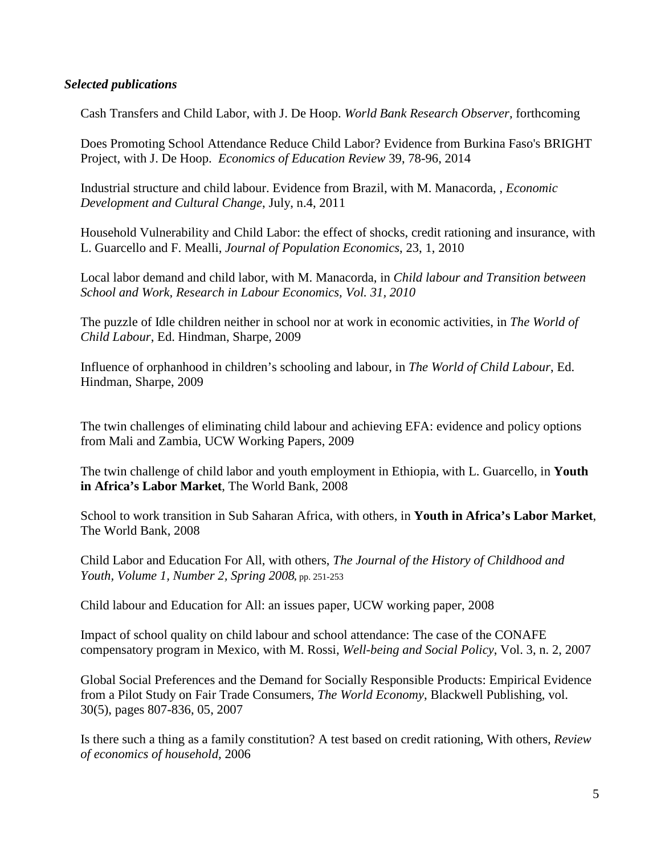#### *Selected publications*

Cash Transfers and Child Labor, with J. De Hoop. *World Bank Research Observer,* forthcoming

Does Promoting School Attendance Reduce Child Labor? Evidence from Burkina Faso's BRIGHT Project, with J. De Hoop. *Economics of Education Review* 39, 78-96, 2014

[Industrial structure and child labour. Evidence from Brazil,](http://ideas.repec.org/p/ucw/worpap/42.html) with M. Manacorda, , *Economic Development and Cultural Change*, July, n.4, 2011

Household Vulnerability and Child Labor: the effect of shocks, credit rationing and insurance, with L. Guarcello and F. Mealli, *Journal of Population Economics*, 23, 1, 2010

[Local labor demand and child labor,](http://ideas.repec.org/p/ucw/worpap/34.html) with M. Manacorda, in *Child labour and Transition between School and Work, Research in Labour Economics, Vol. 31, 2010*

The puzzle of Idle children neither in school nor at work in economic activities, in *The World of Child Labour*, Ed. Hindman, Sharpe, 2009

Influence of orphanhood in children's schooling and labour, in *The World of Child Labour*, Ed. Hindman, Sharpe, 2009

The twin challenges of eliminating child labour and achieving EFA: evidence and policy options from Mali and Zambia, UCW Working Papers, 2009

The twin challenge of child labor and youth employment in Ethiopia, with L. Guarcello, in **Youth in Africa's Labor Market**, The World Bank, 2008

School to work transition in Sub Saharan Africa, with others, in **Youth in Africa's Labor Market**, The World Bank, 2008

Child Labor and Education For All, with others, *[The Journal of the History of Childhood and](http://muse.jhu.edu/journals/journal_of_the_history_of_youth_and_childhood/toc/hcy.1.2.html)  [Youth, Volume 1, Number 2, Spring 2008](http://muse.jhu.edu/journals/journal_of_the_history_of_youth_and_childhood/toc/hcy.1.2.html),* pp. 251-253

Child labour and Education for All: an issues paper, UCW working paper, 2008

Impact of school quality on child labour and school attendance: The case of the CONAFE compensatory program in Mexico, with M. Rossi, *Well-being and Social Policy*, Vol. 3, n. 2, 2007

[Global Social Preferences and the Demand for Socially Responsible Products: Empirical Evidence](http://ideas.repec.org/a/bla/worlde/v30y2007i5p807-836.html)  [from a Pilot Study on Fair Trade Consumers,](http://ideas.repec.org/a/bla/worlde/v30y2007i5p807-836.html) *[The World Economy](http://ideas.repec.org/s/bla/worlde.html)*, Blackwell Publishing, vol. 30(5), pages 807-836, 05, 2007

Is there such a thing as a family constitution? A test based on credit rationing, With others, *Review of economics of household,* 2006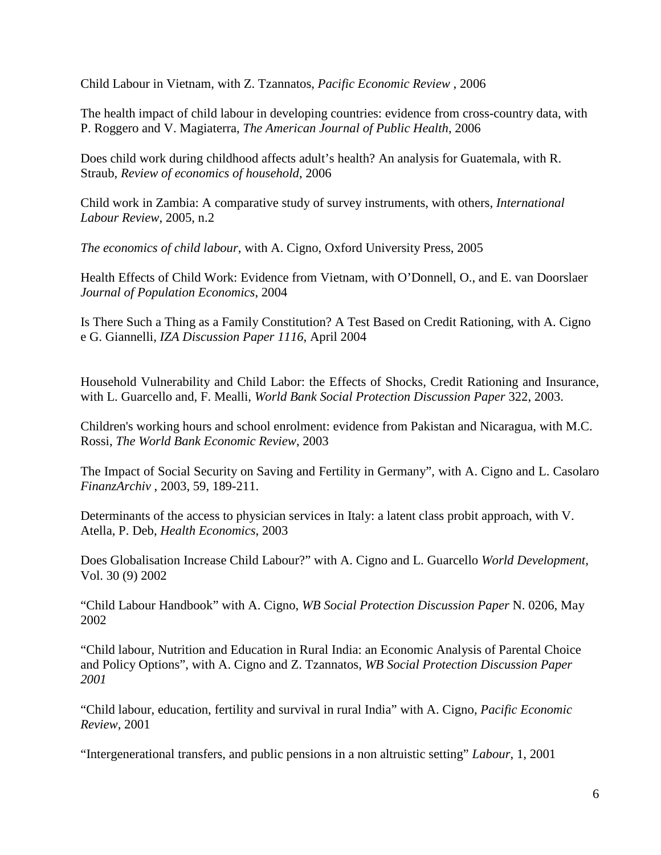Child Labour in Vietnam, with Z. Tzannatos, *Pacific Economic Review* , 2006

The health impact of child labour in developing countries: evidence from cross-country data, with P. Roggero and V. Magiaterra, *The American Journal of Public Health*, 2006

Does child work during childhood affects adult's health? An analysis for Guatemala, with R. Straub, *Review of economics of household*, 2006

Child work in Zambia: A comparative study of survey instruments, with others, *International Labour Review*, 2005, n.2

*The economics of child labour*, with A. Cigno, Oxford University Press, 2005

Health Effects of Child Work: Evidence from Vietnam, with O'Donnell, O., and E. van Doorslaer *Journal of Population Economics*, 2004

Is There Such a Thing as a [Family Constitution? A Test Based on Credit Rationing,](http://www.iza.org/en/webcontent/publications/papers/viewAbstract?dp_id=1116) with A. Cigno e G. Giannelli, *IZA Discussion Paper 1116*, April 2004

Household Vulnerability and Child Labor: the Effects of Shocks, Credit Rationing and Insurance, with L. Guarcello and, F. Mealli, *World Bank Social Protection Discussion Paper* 322, 2003.

Children's working hours and school enrolment: evidence from Pakistan and Nicaragua, with M.C. Rossi, *The World Bank Economic Review*, 2003

The Impact of Social Security on Saving and Fertility in Germany", with A. Cigno and L. Casolaro *FinanzArchiv* , 2003, 59, 189-211.

Determinants of the access to physician services in Italy: a latent class probit approach, with V. Atella, P. Deb, *Health Economics*, 2003

Does Globalisation Increase Child Labour?" with A. Cigno and L. Guarcello *World Development,*  Vol. 30 (9) 2002

"Child Labour Handbook" with A. Cigno, *WB Social Protection Discussion Paper* N. 0206, May 2002

"Child labour, Nutrition and Education in Rural India: an Economic Analysis of Parental Choice and Policy Options", with A. Cigno and Z. Tzannatos, *WB Social Protection Discussion Paper 2001*

"Child labour, education, fertility and survival in rural India" with A. Cigno, *Pacific Economic Review,* 2001

"Intergenerational transfers, and public pensions in a non altruistic setting" *Labour*, 1, 2001